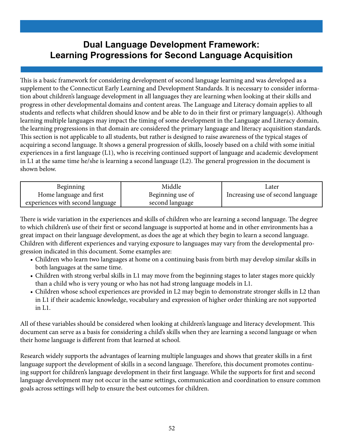## **Dual Language Development Framework: Learning Progressions for Second Language Acquisition**

This is a basic framework for considering development of second language learning and was developed as a supplement to the Connecticut Early Learning and Development Standards. It is necessary to consider information about children's language development in all languages they are learning when looking at their skills and progress in other developmental domains and content areas. The Language and Literacy domain applies to all students and reflects what children should know and be able to do in their first or primary language(s). Although learning multiple languages may impact the timing of some development in the Language and Literacy domain, the learning progressions in that domain are considered the primary language and literacy acquisition standards. This section is not applicable to all students, but rather is designed to raise awareness of the typical stages of acquiring a second language. It shows a general progression of skills, loosely based on a child with some initial experiences in a first language (L1), who is receiving continued support of language and academic development in L1 at the same time he/she is learning a second language (L2). The general progression in the document is shown below.

| <b>Beginning</b>                 | Middle           | Later                             |
|----------------------------------|------------------|-----------------------------------|
| Home language and first          | Beginning use of | Increasing use of second language |
| experiences with second language | second language  |                                   |

There is wide variation in the experiences and skills of children who are learning a second language. The degree to which children's use of their first or second language is supported at home and in other environments has a great impact on their language development, as does the age at which they begin to learn a second language. Children with different experiences and varying exposure to languages may vary from the developmental progression indicated in this document. Some examples are:

- Children who learn two languages at home on a continuing basis from birth may develop similar skills in both languages at the same time.
- Children with strong verbal skills in L1 may move from the beginning stages to later stages more quickly than a child who is very young or who has not had strong language models in L1.
- Children whose school experiences are provided in L2 may begin to demonstrate stronger skills in L2 than in L1 if their academic knowledge, vocabulary and expression of higher order thinking are not supported in L1.

All of these variables should be considered when looking at children's language and literacy development. This document can serve as a basis for considering a child's skills when they are learning a second language or when their home language is different from that learned at school.

Research widely supports the advantages of learning multiple languages and shows that greater skills in a first language support the development of skills in a second language. Therefore, this document promotes continuing support for children's language development in their first language. While the supports for first and second language development may not occur in the same settings, communication and coordination to ensure common goals across settings will help to ensure the best outcomes for children.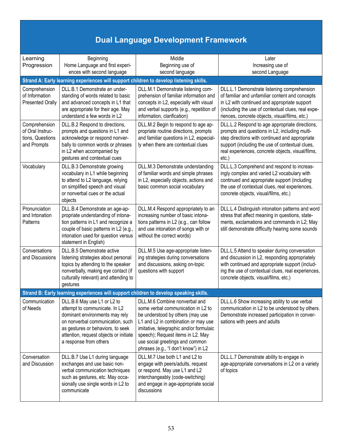## **Dual Language Development Framework**

| Learning                | Beginning                                                                               | Middle                                                                             | Later                                              |
|-------------------------|-----------------------------------------------------------------------------------------|------------------------------------------------------------------------------------|----------------------------------------------------|
| Progression             | Home Language and first experi-                                                         | Beginning use of                                                                   | Increasing use of                                  |
|                         | ences with second language                                                              | second language                                                                    | second Language                                    |
|                         | Strand A: Early learning experiences will support children to develop listening skills. |                                                                                    |                                                    |
|                         |                                                                                         |                                                                                    |                                                    |
| Comprehension           | DLL.B.1 Demonstrate an under-                                                           | DLL.M.1 Demonstrate listening com-                                                 | DLL.L.1 Demonstrate listening comprehension        |
| of Information          | standing of words related to basic                                                      | prehension of familiar information and                                             | of familiar and unfamiliar content and concepts    |
| <b>Presented Orally</b> | and advanced concepts in L1 that                                                        | concepts in L2, especially with visual<br>and verbal supports (e.g., repetition of | in L2 with continued and appropriate support       |
|                         | are appropriate for their age. May<br>understand a few words in L2                      | information, clarification)                                                        | (including the use of contextual clues, real expe- |
|                         |                                                                                         |                                                                                    | riences, concrete objects, visual/films, etc.)     |
| Comprehension           | DLL.B.2 Respond to directions,                                                          | DLL.M.2 Begin to respond to age ap-                                                | DLL.L.2 Respond to age appropriate directions,     |
| of Oral Instruc-        | prompts and questions in L1 and                                                         | propriate routine directions, prompts                                              | prompts and questions in L2, including multi-      |
| tions, Questions        | acknowledge or respond nonver-                                                          | and familiar questions in L2, especial-                                            | step directions with continued and appropriate     |
| and Prompts             | bally to common words or phrases                                                        | ly when there are contextual clues                                                 | support (including the use of contextual clues,    |
|                         | in L2 when accompanied by                                                               |                                                                                    | real experiences, concrete objects, visual/films,  |
|                         | gestures and contextual cues                                                            |                                                                                    | $etc.$ )                                           |
| Vocabulary              | DLL.B.3 Demonstrate growing                                                             | DLL.M.3 Demonstrate understanding                                                  | DLL.L.3 Comprehend and respond to increas-         |
|                         | vocabulary in L1 while beginning                                                        | of familiar words and simple phrases                                               | ingly complex and varied L2 vocabulary with        |
|                         | to attend to L2 language, relying                                                       | in L2, especially objects, actions and                                             | continued and appropriate support (including       |
|                         | on simplified speech and visual                                                         | basic common social vocabulary                                                     | the use of contextual clues, real experiences,     |
|                         | or nonverbal cues or the actual                                                         |                                                                                    | concrete objects, visual/films, etc.)              |
|                         | objects                                                                                 |                                                                                    |                                                    |
| Pronunciation           | DLL.B.4 Demonstrate an age-ap-                                                          | DLL.M.4 Respond appropriately to an                                                | DLL.L.4 Distinguish intonation patterns and word   |
| and Intonation          | propriate understanding of intona-                                                      | increasing number of basic intona-                                                 | stress that affect meaning in questions, state-    |
| Patterns                | tion patterns in L1 and recognize a                                                     | tions patterns in L2 (e.g., can follow                                             | ments, exclamations and commands in L2; May        |
|                         | couple of basic patterns in L2 (e.g.,                                                   | and use intonation of songs with or                                                | still demonstrate difficulty hearing some sounds   |
|                         | intonation used for question versus<br>statement in English)                            | without the correct words)                                                         |                                                    |
|                         |                                                                                         |                                                                                    |                                                    |
| Conversations           | DLL.B.5 Demonstrate active                                                              | DLL.M.5 Use age-appropriate listen-                                                | DLL.L.5 Attend to speaker during conversation      |
| and Discussions         | listening strategies about personal                                                     | ing strategies during conversations                                                | and discussion in L2, responding appropriately     |
|                         | topics by attending to the speaker                                                      | and discussions, asking on-topic                                                   | with continued and appropriate support (includ-    |
|                         | nonverbally, making eye contact (if                                                     | questions with support                                                             | ing the use of contextual clues, real experiences, |
|                         | culturally relevant) and attending to<br>gestures                                       |                                                                                    | concrete objects, visual/films, etc.)              |
|                         |                                                                                         |                                                                                    |                                                    |
|                         | Strand B: Early learning experiences will support children to develop speaking skills.  |                                                                                    |                                                    |
|                         | Communication   DLL.B.6 May use L1 or L2 to                                             | DLL.M.6 Combine nonverbal and                                                      | DLL.L.6 Show increasing ability to use verbal      |
| of Needs                | attempt to communicate. In L2                                                           | some verbal communication in L2 to                                                 | communication in L2 to be understood by others.    |
|                         | dominant environments may rely                                                          | be understood by others (may use                                                   | Demonstrate increased participation in conver-     |
|                         | on nonverbal communication, such                                                        | L1 and L2 in combination or may use                                                | sations with peers and adults                      |
|                         | as gestures or behaviors, to seek                                                       | imitative, telegraphic and/or formulaic                                            |                                                    |
|                         | attention, request objects or initiate                                                  | speech); Request items in L2. May                                                  |                                                    |
|                         | a response from others                                                                  | use social greetings and common<br>phrases (e.g., "I don't know") in L2            |                                                    |
|                         |                                                                                         |                                                                                    |                                                    |
| Conversation            | DLL.B.7 Use L1 during language                                                          | DLL.M.7 Use both L1 and L2 to                                                      | DLL.L.7 Demonstrate ability to engage in           |
| and Discussion          | exchanges and use basic non-                                                            | engage with peers/adults, request                                                  | age-appropriate conversations in L2 on a variety   |
|                         | verbal communication techniques                                                         | or respond. May use L1 and L2                                                      | of topics                                          |
|                         | such as gestures, etc. May occa-<br>sionally use single words in L2 to                  | interchangeably (code-switching)                                                   |                                                    |
|                         | communicate                                                                             | and engage in age-appropriate social<br>discussions                                |                                                    |
|                         |                                                                                         |                                                                                    |                                                    |